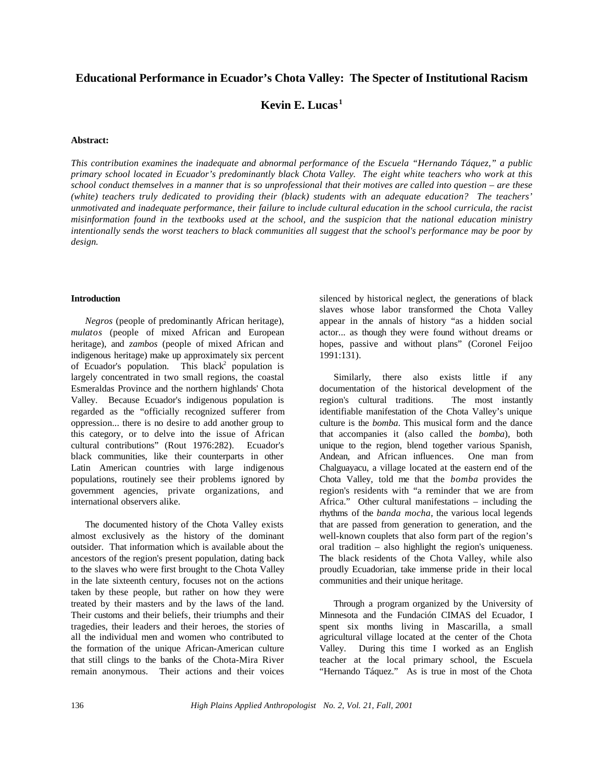# **Educational Performance in Ecuador's Chota Valley: The Specter of Institutional Racism**

**Kevin E. Lucas <sup>1</sup>**

## **Abstract:**

*This contribution examines the inadequate and abnormal performance of the Escuela "Hernando Táquez," a public primary school located in Ecuador's predominantly black Chota Valley. The eight white teachers who work at this school conduct themselves in a manner that is so unprofessional that their motives are called into question – are these (white) teachers truly dedicated to providing their (black) students with an adequate education? The teachers' unmotivated and inadequate performance, their failure to include cultural education in the school curricula, the racist misinformation found in the textbooks used at the school, and the suspicion that the national education ministry intentionally sends the worst teachers to black communities all suggest that the school's performance may be poor by design.*

#### **Introduction**

*Negros* (people of predominantly African heritage), *mulatos* (people of mixed African and European heritage), and *zambos* (people of mixed African and indigenous heritage) make up approximately six percent of Ecuador's population. This black<sup>2</sup> population is largely concentrated in two small regions, the coastal Esmeraldas Province and the northern highlands' Chota Valley. Because Ecuador's indigenous population is regarded as the "officially recognized sufferer from oppression... there is no desire to add another group to this category, or to delve into the issue of African cultural contributions" (Rout 1976:282). Ecuador's black communities, like their counterparts in other Latin American countries with large indigenous populations, routinely see their problems ignored by government agencies, private organizations, and international observers alike.

The documented history of the Chota Valley exists almost exclusively as the history of the dominant outsider. That information which is available about the ancestors of the region's present population, dating back to the slaves who were first brought to the Chota Valley in the late sixteenth century, focuses not on the actions taken by these people, but rather on how they were treated by their masters and by the laws of the land. Their customs and their beliefs, their triumphs and their tragedies, their leaders and their heroes, the stories of all the individual men and women who contributed to the formation of the unique African-American culture that still clings to the banks of the Chota-Mira River remain anonymous. Their actions and their voices

silenced by historical neglect, the generations of black slaves whose labor transformed the Chota Valley appear in the annals of history "as a hidden social actor... as though they were found without dreams or hopes, passive and without plans" (Coronel Feijoo 1991:131).

Similarly, there also exists little if any documentation of the historical development of the region's cultural traditions. The most instantly identifiable manifestation of the Chota Valley's unique culture is the *bomba*. This musical form and the dance that accompanies it (also called the *bomba*), both unique to the region, blend together various Spanish, Andean, and African influences. One man from Chalguayacu, a village located at the eastern end of the Chota Valley, told me that the *bomba* provides the region's residents with "a reminder that we are from Africa." Other cultural manifestations – including the rhythms of the *banda mocha*, the various local legends that are passed from generation to generation, and the well-known couplets that also form part of the region's oral tradition – also highlight the region's uniqueness. The black residents of the Chota Valley, while also proudly Ecuadorian, take immense pride in their local communities and their unique heritage.

Through a program organized by the University of Minnesota and the Fundación CIMAS del Ecuador, I spent six months living in Mascarilla, a small agricultural village located at the center of the Chota Valley. During this time I worked as an English teacher at the local primary school, the Escuela "Hernando Táquez." As is true in most of the Chota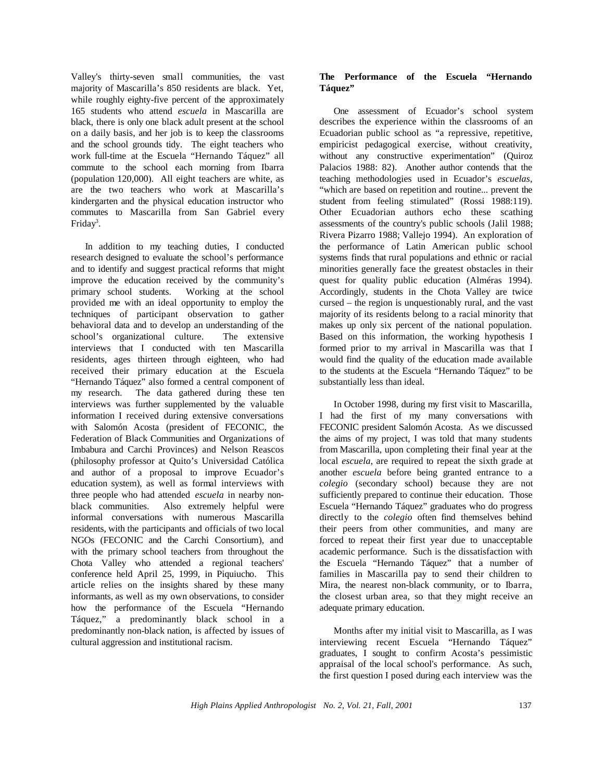Valley's thirty-seven small communities, the vast majority of Mascarilla's 850 residents are black. Yet, while roughly eighty-five percent of the approximately 165 students who attend *escuela* in Mascarilla are black, there is only one black adult present at the school on a daily basis, and her job is to keep the classrooms and the school grounds tidy. The eight teachers who work full-time at the Escuela "Hernando Táquez" all commute to the school each morning from Ibarra (population 120,000). All eight teachers are white, as are the two teachers who work at Mascarilla's kindergarten and the physical education instructor who commutes to Mascarilla from San Gabriel every Friday<sup>3</sup>.

In addition to my teaching duties, I conducted research designed to evaluate the school's performance and to identify and suggest practical reforms that might improve the education received by the community's primary school students. Working at the school provided me with an ideal opportunity to employ the techniques of participant observation to gather behavioral data and to develop an understanding of the school's organizational culture. The extensive interviews that I conducted with ten Mascarilla residents, ages thirteen through eighteen, who had received their primary education at the Escuela "Hernando Táquez" also formed a central component of my research. The data gathered during these ten interviews was further supplemented by the valuable information I received during extensive conversations with Salomón Acosta (president of FECONIC, the Federation of Black Communities and Organizations of Imbabura and Carchi Provinces) and Nelson Reascos (philosophy professor at Quito's Universidad Católica and author of a proposal to improve Ecuador's education system), as well as formal interviews with three people who had attended *escuela* in nearby nonblack communities. Also extremely helpful were informal conversations with numerous Mascarilla residents, with the participants and officials of two local NGOs (FECONIC and the Carchi Consortium), and with the primary school teachers from throughout the Chota Valley who attended a regional teachers' conference held April 25, 1999, in Piquiucho. This article relies on the insights shared by these many informants, as well as my own observations, to consider how the performance of the Escuela "Hernando Táquez," a predominantly black school in a predominantly non-black nation, is affected by issues of cultural aggression and institutional racism.

## **The Performance of the Escuela "Hernando Táquez"**

One assessment of Ecuador's school system describes the experience within the classrooms of an Ecuadorian public school as "a repressive, repetitive, empiricist pedagogical exercise, without creativity, without any constructive experimentation" (Quiroz Palacios 1988: 82). Another author contends that the teaching methodologies used in Ecuador's *escuelas*, "which are based on repetition and routine... prevent the student from feeling stimulated" (Rossi 1988:119). Other Ecuadorian authors echo these scathing assessments of the country's public schools (Jalil 1988; Rivera Pizarro 1988; Vallejo 1994). An exploration of the performance of Latin American public school systems finds that rural populations and ethnic or racial minorities generally face the greatest obstacles in their quest for quality public education (Alméras 1994). Accordingly, students in the Chota Valley are twice cursed – the region is unquestionably rural, and the vast majority of its residents belong to a racial minority that makes up only six percent of the national population. Based on this information, the working hypothesis I formed prior to my arrival in Mascarilla was that I would find the quality of the education made available to the students at the Escuela "Hernando Táquez" to be substantially less than ideal.

In October 1998, during my first visit to Mascarilla, I had the first of my many conversations with FECONIC president Salomón Acosta. As we discussed the aims of my project, I was told that many students from Mascarilla, upon completing their final year at the local *escuela*, are required to repeat the sixth grade at another *escuela* before being granted entrance to a *colegio* (secondary school) because they are not sufficiently prepared to continue their education. Those Escuela "Hernando Táquez" graduates who do progress directly to the *colegio* often find themselves behind their peers from other communities, and many are forced to repeat their first year due to unacceptable academic performance. Such is the dissatisfaction with the Escuela "Hernando Táquez" that a number of families in Mascarilla pay to send their children to Mira, the nearest non-black community, or to Ibarra, the closest urban area, so that they might receive an adequate primary education.

Months after my initial visit to Mascarilla, as I was interviewing recent Escuela "Hernando Táquez" graduates, I sought to confirm Acosta's pessimistic appraisal of the local school's performance. As such, the first question I posed during each interview was the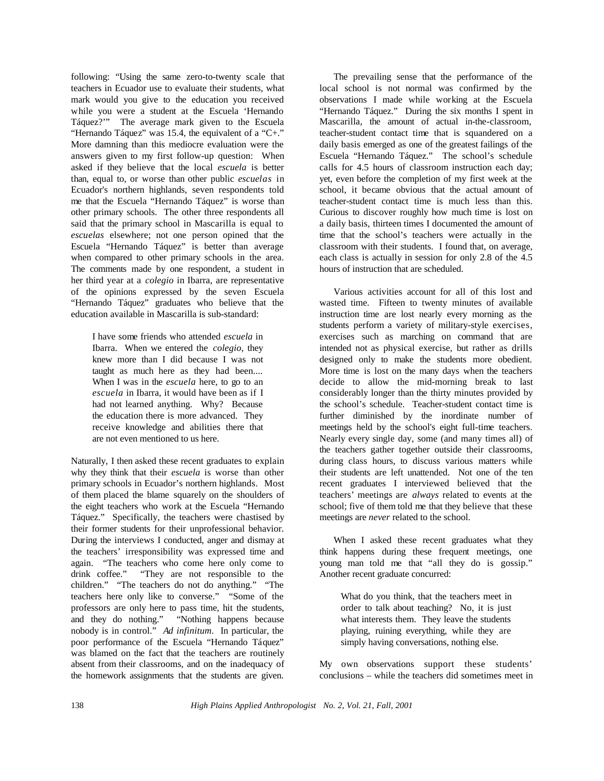following: "Using the same zero-to-twenty scale that teachers in Ecuador use to evaluate their students, what mark would you give to the education you received while you were a student at the Escuela 'Hernando Táquez?'" The average mark given to the Escuela "Hernando Táquez" was 15.4, the equivalent of a "C+." More damning than this mediocre evaluation were the answers given to my first follow-up question: When asked if they believe that the local *escuela* is better than, equal to, or worse than other public *escuelas* in Ecuador's northern highlands, seven respondents told me that the Escuela "Hernando Táquez" is worse than other primary schools. The other three respondents all said that the primary school in Mascarilla is equal to *escuelas* elsewhere; not one person opined that the Escuela "Hernando Táquez" is better than average when compared to other primary schools in the area. The comments made by one respondent, a student in her third year at a *colegio* in Ibarra, are representative of the opinions expressed by the seven Escuela "Hernando Táquez" graduates who believe that the education available in Mascarilla is sub-standard:

I have some friends who attended *escuela* in Ibarra. When we entered the *colegio*, they knew more than I did because I was not taught as much here as they had been.... When I was in the *escuela* here, to go to an *escuela* in Ibarra, it would have been as if I had not learned anything. Why? Because the education there is more advanced. They receive knowledge and abilities there that are not even mentioned to us here.

Naturally, I then asked these recent graduates to explain why they think that their *escuela* is worse than other primary schools in Ecuador's northern highlands. Most of them placed the blame squarely on the shoulders of the eight teachers who work at the Escuela "Hernando Táquez." Specifically, the teachers were chastised by their former students for their unprofessional behavior. During the interviews I conducted, anger and dismay at the teachers' irresponsibility was expressed time and again. "The teachers who come here only come to drink coffee." "They are not responsible to the "They are not responsible to the children." "The teachers do not do anything." "The teachers here only like to converse." "Some of the professors are only here to pass time, hit the students, and they do nothing." "Nothing happens because nobody is in control." *Ad infinitum*. In particular, the poor performance of the Escuela "Hernando Táquez" was blamed on the fact that the teachers are routinely absent from their classrooms, and on the inadequacy of the homework assignments that the students are given.

The prevailing sense that the performance of the local school is not normal was confirmed by the observations I made while working at the Escuela "Hernando Táquez." During the six months I spent in Mascarilla, the amount of actual in-the-classroom, teacher-student contact time that is squandered on a daily basis emerged as one of the greatest failings of the Escuela "Hernando Táquez." The school's schedule calls for 4.5 hours of classroom instruction each day; yet, even before the completion of my first week at the school, it became obvious that the actual amount of teacher-student contact time is much less than this. Curious to discover roughly how much time is lost on a daily basis, thirteen times I documented the amount of time that the school's teachers were actually in the classroom with their students. I found that, on average, each class is actually in session for only 2.8 of the 4.5 hours of instruction that are scheduled.

Various activities account for all of this lost and wasted time. Fifteen to twenty minutes of available instruction time are lost nearly every morning as the students perform a variety of military-style exercises, exercises such as marching on command that are intended not as physical exercise, but rather as drills designed only to make the students more obedient. More time is lost on the many days when the teachers decide to allow the mid-morning break to last considerably longer than the thirty minutes provided by the school's schedule. Teacher-student contact time is further diminished by the inordinate number of meetings held by the school's eight full-time teachers. Nearly every single day, some (and many times all) of the teachers gather together outside their classrooms, during class hours, to discuss various matters while their students are left unattended. Not one of the ten recent graduates I interviewed believed that the teachers' meetings are *always* related to events at the school; five of them told me that they believe that these meetings are *never* related to the school.

When I asked these recent graduates what they think happens during these frequent meetings, one young man told me that "all they do is gossip." Another recent graduate concurred:

What do you think, that the teachers meet in order to talk about teaching? No, it is just what interests them. They leave the students playing, ruining everything, while they are simply having conversations, nothing else.

My own observations support these students' conclusions – while the teachers did sometimes meet in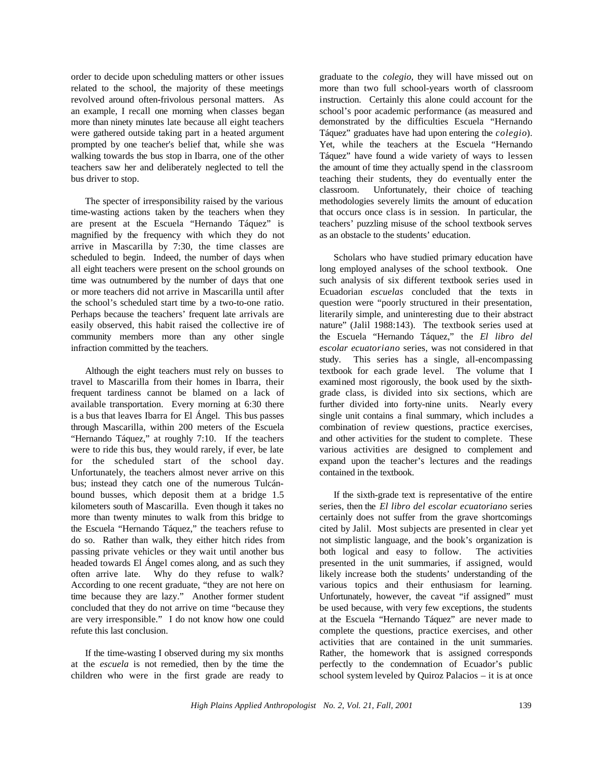order to decide upon scheduling matters or other issues related to the school, the majority of these meetings revolved around often-frivolous personal matters. As an example, I recall one morning when classes began more than ninety minutes late because all eight teachers were gathered outside taking part in a heated argument prompted by one teacher's belief that, while she was walking towards the bus stop in Ibarra, one of the other teachers saw her and deliberately neglected to tell the bus driver to stop.

The specter of irresponsibility raised by the various time-wasting actions taken by the teachers when they are present at the Escuela "Hernando Táquez" is magnified by the frequency with which they do not arrive in Mascarilla by 7:30, the time classes are scheduled to begin. Indeed, the number of days when all eight teachers were present on the school grounds on time was outnumbered by the number of days that one or more teachers did not arrive in Mascarilla until after the school's scheduled start time by a two-to-one ratio. Perhaps because the teachers' frequent late arrivals are easily observed, this habit raised the collective ire of community members more than any other single infraction committed by the teachers.

Although the eight teachers must rely on busses to travel to Mascarilla from their homes in Ibarra, their frequent tardiness cannot be blamed on a lack of available transportation. Every morning at 6:30 there is a bus that leaves Ibarra for El Ángel. This bus passes through Mascarilla, within 200 meters of the Escuela "Hernando Táquez," at roughly 7:10. If the teachers were to ride this bus, they would rarely, if ever, be late for the scheduled start of the school day. Unfortunately, the teachers almost never arrive on this bus; instead they catch one of the numerous Tulcánbound busses, which deposit them at a bridge 1.5 kilometers south of Mascarilla. Even though it takes no more than twenty minutes to walk from this bridge to the Escuela "Hernando Táquez," the teachers refuse to do so. Rather than walk, they either hitch rides from passing private vehicles or they wait until another bus headed towards El Ángel comes along, and as such they often arrive late. Why do they refuse to walk? According to one recent graduate, "they are not here on time because they are lazy." Another former student concluded that they do not arrive on time "because they are very irresponsible." I do not know how one could refute this last conclusion.

If the time-wasting I observed during my six months at the *escuela* is not remedied, then by the time the children who were in the first grade are ready to graduate to the *colegio*, they will have missed out on more than two full school-years worth of classroom instruction. Certainly this alone could account for the school's poor academic performance (as measured and demonstrated by the difficulties Escuela "Hernando Táquez" graduates have had upon entering the *colegio*). Yet, while the teachers at the Escuela "Hernando Táquez" have found a wide variety of ways to lessen the amount of time they actually spend in the classroom teaching their students, they do eventually enter the classroom. Unfortunately, their choice of teaching methodologies severely limits the amount of education that occurs once class is in session. In particular, the teachers' puzzling misuse of the school textbook serves as an obstacle to the students' education.

Scholars who have studied primary education have long employed analyses of the school textbook. One such analysis of six different textbook series used in Ecuadorian *escuelas* concluded that the texts in question were "poorly structured in their presentation, literarily simple, and uninteresting due to their abstract nature" (Jalil 1988:143). The textbook series used at the Escuela "Hernando Táquez," the *El libro del escolar ecuatoriano* series, was not considered in that study. This series has a single, all-encompassing textbook for each grade level. The volume that I examined most rigorously, the book used by the sixthgrade class, is divided into six sections, which are further divided into forty-nine units. Nearly every single unit contains a final summary, which includes a combination of review questions, practice exercises, and other activities for the student to complete. These various activities are designed to complement and expand upon the teacher's lectures and the readings contained in the textbook.

If the sixth-grade text is representative of the entire series, then the *El libro del escolar ecuatoriano* series certainly does not suffer from the grave shortcomings cited by Jalil. Most subjects are presented in clear yet not simplistic language, and the book's organization is both logical and easy to follow. The activities presented in the unit summaries, if assigned, would likely increase both the students' understanding of the various topics and their enthusiasm for learning. Unfortunately, however, the caveat "if assigned" must be used because, with very few exceptions, the students at the Escuela "Hernando Táquez" are never made to complete the questions, practice exercises, and other activities that are contained in the unit summaries. Rather, the homework that is assigned corresponds perfectly to the condemnation of Ecuador's public school system leveled by Quiroz Palacios – it is at once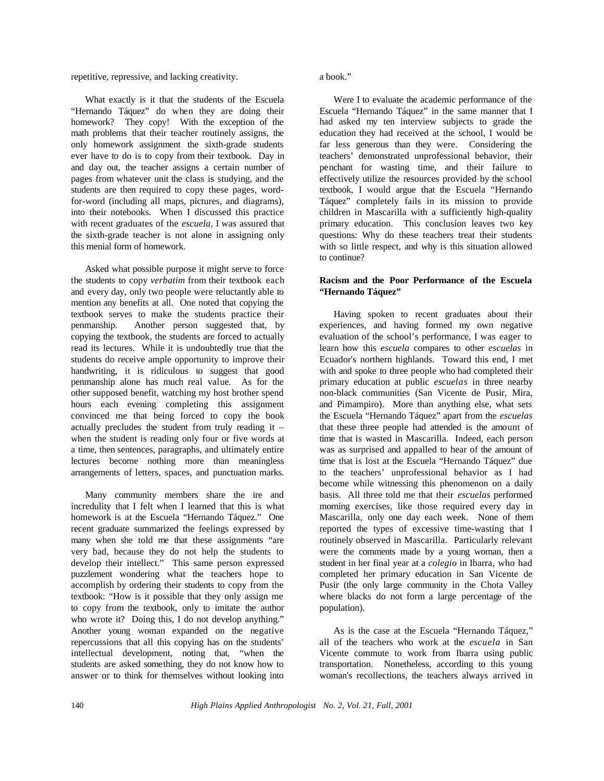repetitive, repressive, and lacking creativity.

What exactly is it that the students of the Escuela "Hernando Táquez" do when they are doing their homework? They copy! With the exception of the math problems that their teacher routinely assigns, the only homework assignment the sixth-grade students ever have to do is to copy from their textbook. Day in and day out, the teacher assigns a certain number of pages from whatever unit the class is studying, and the students are then required to copy these pages, wordfor-word (including all maps, pictures, and diagrams), into their notebooks. When I discussed this practice with recent graduates of the *escuela*, I was assured that the sixth-grade teacher is not alone in assigning only this menial form of homework.

Asked what possible purpose it might serve to force the students to copy *verbatim* from their textbook each and every day, only two people were reluctantly able to mention any benefits at all. One noted that copying the textbook serves to make the students practice their penmanship. Another person suggested that, by copying the textbook, the students are forced to actually read its lectures. While it is undoubtedly true that the students do receive ample opportunity to improve their handwriting, it is ridiculous to suggest that good penmanship alone has much real value. As for the other supposed benefit, watching my host brother spend hours each evening completing this assignment convinced me that being forced to copy the book actually precludes the student from truly reading it – when the student is reading only four or five words at a time, then sentences, paragraphs, and ultimately entire lectures become nothing more than meaningless arrangements of letters, spaces, and punctuation marks.

Many community members share the ire and incredulity that I felt when I learned that this is what homework is at the Escuela "Hernando Táquez." One recent graduate summarized the feelings expressed by many when she told me that these assignments "are very bad, because they do not help the students to develop their intellect." This same person expressed puzzlement wondering what the teachers hope to accomplish by ordering their students to copy from the textbook: "How is it possible that they only assign me to copy from the textbook, only to imitate the author who wrote it? Doing this, I do not develop anything." Another young woman expanded on the negative repercussions that all this copying has on the students' intellectual development, noting that, "when the students are asked something, they do not know how to answer or to think for themselves without looking into

a book."

Were I to evaluate the academic performance of the Escuela "Hernando Táquez" in the same manner that I had asked my ten interview subjects to grade the education they had received at the school, I would be far less generous than they were. Considering the teachers' demonstrated unprofessional behavior, their penchant for wasting time, and their failure to effectively utilize the resources provided by the school textbook, I would argue that the Escuela "Hernando Táquez" completely fails in its mission to provide children in Mascarilla with a sufficiently high-quality primary education. This conclusion leaves two key questions: Why do these teachers treat their students with so little respect, and why is this situation allowed to continue?

## **Racism and the Poor Performance of the Escuela "Hernando Táquez"**

Having spoken to recent graduates about their experiences, and having formed my own negative evaluation of the school's performance, I was eager to learn how this *escuela* compares to other *escuelas* in Ecuador's northern highlands. Toward this end, I met with and spoke to three people who had completed their primary education at public *escuelas* in three nearby non-black communities (San Vicente de Pusir, Mira, and Pimampiro). More than anything else, what sets the Escuela "Hernando Táquez" apart from the *escuelas* that these three people had attended is the amount of time that is wasted in Mascarilla. Indeed, each person was as surprised and appalled to hear of the amount of time that is lost at the Escuela "Hernando Táquez" due to the teachers' unprofessional behavior as I had become while witnessing this phenomenon on a daily basis. All three told me that their *escuelas* performed morning exercises, like those required every day in Mascarilla, only one day each week. None of them reported the types of excessive time-wasting that I routinely observed in Mascarilla. Particularly relevant were the comments made by a young woman, then a student in her final year at a *colegio* in Ibarra, who had completed her primary education in San Vicente de Pusir (the only large community in the Chota Valley where blacks do not form a large percentage of the population).

As is the case at the Escuela "Hernando Táquez," all of the teachers who work at the *escuela* in San Vicente commute to work from Ibarra using public transportation. Nonetheless, according to this young woman's recollections, the teachers always arrived in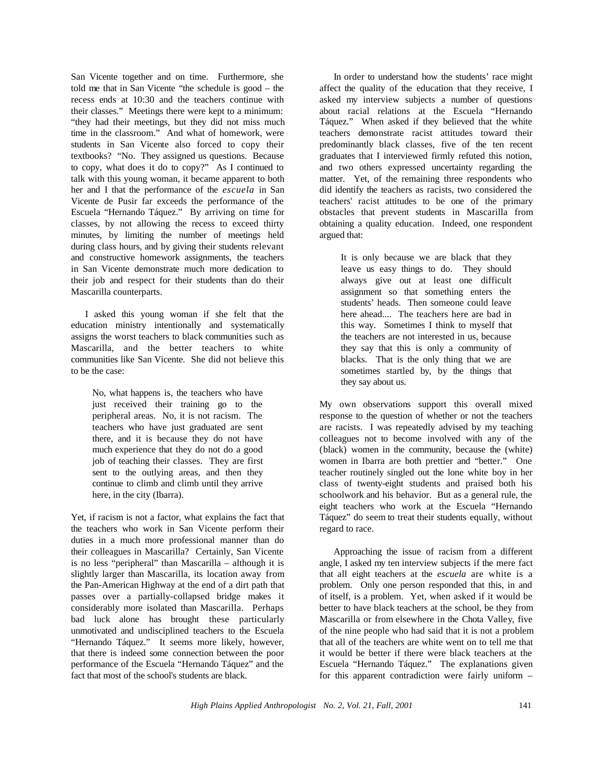San Vicente together and on time. Furthermore, she told me that in San Vicente "the schedule is good – the recess ends at 10:30 and the teachers continue with their classes." Meetings there were kept to a minimum: "they had their meetings, but they did not miss much time in the classroom." And what of homework, were students in San Vicente also forced to copy their textbooks? "No. They assigned us questions. Because to copy, what does it do to copy?" As I continued to talk with this young woman, it became apparent to both her and I that the performance of the *escuela* in San Vicente de Pusir far exceeds the performance of the Escuela "Hernando Táquez." By arriving on time for classes, by not allowing the recess to exceed thirty minutes, by limiting the number of meetings held during class hours, and by giving their students relevant and constructive homework assignments, the teachers in San Vicente demonstrate much more dedication to their job and respect for their students than do their Mascarilla counterparts.

I asked this young woman if she felt that the education ministry intentionally and systematically assigns the worst teachers to black communities such as Mascarilla, and the better teachers to white communities like San Vicente. She did not believe this to be the case:

No, what happens is, the teachers who have just received their training go to the peripheral areas. No, it is not racism. The teachers who have just graduated are sent there, and it is because they do not have much experience that they do not do a good job of teaching their classes. They are first sent to the outlying areas, and then they continue to climb and climb until they arrive here, in the city (Ibarra).

Yet, if racism is not a factor, what explains the fact that the teachers who work in San Vicente perform their duties in a much more professional manner than do their colleagues in Mascarilla? Certainly, San Vicente is no less "peripheral" than Mascarilla – although it is slightly larger than Mascarilla, its location away from the Pan-American Highway at the end of a dirt path that passes over a partially-collapsed bridge makes it considerably more isolated than Mascarilla. Perhaps bad luck alone has brought these particularly unmotivated and undisciplined teachers to the Escuela "Hernando Táquez." It seems more likely, however, that there is indeed some connection between the poor performance of the Escuela "Hernando Táquez" and the fact that most of the school's students are black.

In order to understand how the students' race might affect the quality of the education that they receive, I asked my interview subjects a number of questions about racial relations at the Escuela "Hernando Táquez." When asked if they believed that the white teachers demonstrate racist attitudes toward their predominantly black classes, five of the ten recent graduates that I interviewed firmly refuted this notion, and two others expressed uncertainty regarding the matter. Yet, of the remaining three respondents who did identify the teachers as racists, two considered the teachers' racist attitudes to be one of the primary obstacles that prevent students in Mascarilla from obtaining a quality education. Indeed, one respondent argued that:

It is only because we are black that they leave us easy things to do. They should always give out at least one difficult assignment so that something enters the students' heads. Then someone could leave here ahead.... The teachers here are bad in this way. Sometimes I think to myself that the teachers are not interested in us, because they say that this is only a community of blacks. That is the only thing that we are sometimes startled by, by the things that they say about us.

My own observations support this overall mixed response to the question of whether or not the teachers are racists. I was repeatedly advised by my teaching colleagues not to become involved with any of the (black) women in the community, because the (white) women in Ibarra are both prettier and "better." One teacher routinely singled out the lone white boy in her class of twenty-eight students and praised both his schoolwork and his behavior. But as a general rule, the eight teachers who work at the Escuela "Hernando Táquez" do seem to treat their students equally, without regard to race.

Approaching the issue of racism from a different angle, I asked my ten interview subjects if the mere fact that all eight teachers at the *escuela* are white is a problem. Only one person responded that this, in and of itself, is a problem. Yet, when asked if it would be better to have black teachers at the school, be they from Mascarilla or from elsewhere in the Chota Valley, five of the nine people who had said that it is not a problem that all of the teachers are white went on to tell me that it would be better if there were black teachers at the Escuela "Hernando Táquez." The explanations given for this apparent contradiction were fairly uniform –

*High Plains Applied Anthropologist No. 2, Vol. 21, Fall, 2001* 141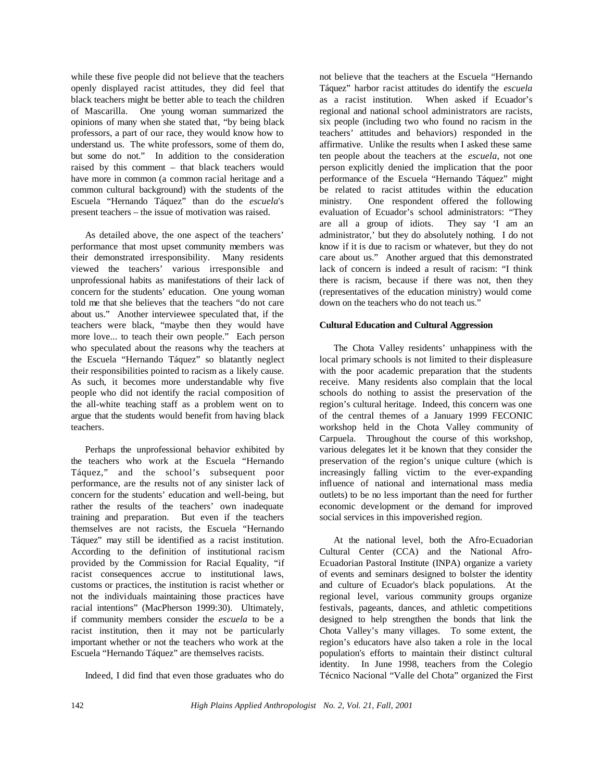while these five people did not believe that the teachers openly displayed racist attitudes, they did feel that black teachers might be better able to teach the children of Mascarilla. One young woman summarized the opinions of many when she stated that, "by being black professors, a part of our race, they would know how to understand us. The white professors, some of them do, but some do not." In addition to the consideration raised by this comment – that black teachers would have more in common (a common racial heritage and a common cultural background) with the students of the Escuela "Hernando Táquez" than do the *escuela*'s present teachers – the issue of motivation was raised.

As detailed above, the one aspect of the teachers' performance that most upset community members was their demonstrated irresponsibility. Many residents viewed the teachers' various irresponsible and unprofessional habits as manifestations of their lack of concern for the students' education. One young woman told me that she believes that the teachers "do not care about us." Another interviewee speculated that, if the teachers were black, "maybe then they would have more love... to teach their own people." Each person who speculated about the reasons why the teachers at the Escuela "Hernando Táquez" so blatantly neglect their responsibilities pointed to racism as a likely cause. As such, it becomes more understandable why five people who did not identify the racial composition of the all-white teaching staff as a problem went on to argue that the students would benefit from having black teachers.

Perhaps the unprofessional behavior exhibited by the teachers who work at the Escuela "Hernando Táquez," and the school's subsequent poor performance, are the results not of any sinister lack of concern for the students' education and well-being, but rather the results of the teachers' own inadequate training and preparation. But even if the teachers themselves are not racists, the Escuela "Hernando Táquez" may still be identified as a racist institution. According to the definition of institutional racism provided by the Commission for Racial Equality, "if racist consequences accrue to institutional laws, customs or practices, the institution is racist whether or not the individuals maintaining those practices have racial intentions" (MacPherson 1999:30). Ultimately, if community members consider the *escuela* to be a racist institution, then it may not be particularly important whether or not the teachers who work at the Escuela "Hernando Táquez" are themselves racists.

Indeed, I did find that even those graduates who do

not believe that the teachers at the Escuela "Hernando Táquez" harbor racist attitudes do identify the *escuela* as a racist institution. When asked if Ecuador's regional and national school administrators are racists, six people (including two who found no racism in the teachers' attitudes and behaviors) responded in the affirmative. Unlike the results when I asked these same ten people about the teachers at the *escuela*, not one person explicitly denied the implication that the poor performance of the Escuela "Hernando Táquez" might be related to racist attitudes within the education ministry. One respondent offered the following evaluation of Ecuador's school administrators: "They are all a group of idiots. They say 'I am an administrator,' but they do absolutely nothing. I do not know if it is due to racism or whatever, but they do not care about us." Another argued that this demonstrated lack of concern is indeed a result of racism: "I think there is racism, because if there was not, then they (representatives of the education ministry) would come down on the teachers who do not teach us."

## **Cultural Education and Cultural Aggression**

The Chota Valley residents' unhappiness with the local primary schools is not limited to their displeasure with the poor academic preparation that the students receive. Many residents also complain that the local schools do nothing to assist the preservation of the region's cultural heritage. Indeed, this concern was one of the central themes of a January 1999 FECONIC workshop held in the Chota Valley community of Carpuela. Throughout the course of this workshop, various delegates let it be known that they consider the preservation of the region's unique culture (which is increasingly falling victim to the ever-expanding influence of national and international mass media outlets) to be no less important than the need for further economic development or the demand for improved social services in this impoverished region.

At the national level, both the Afro-Ecuadorian Cultural Center (CCA) and the National Afro-Ecuadorian Pastoral Institute (INPA) organize a variety of events and seminars designed to bolster the identity and culture of Ecuador's black populations. At the regional level, various community groups organize festivals, pageants, dances, and athletic competitions designed to help strengthen the bonds that link the Chota Valley's many villages. To some extent, the region's educators have also taken a role in the local population's efforts to maintain their distinct cultural identity. In June 1998, teachers from the Colegio Técnico Nacional "Valle del Chota" organized the First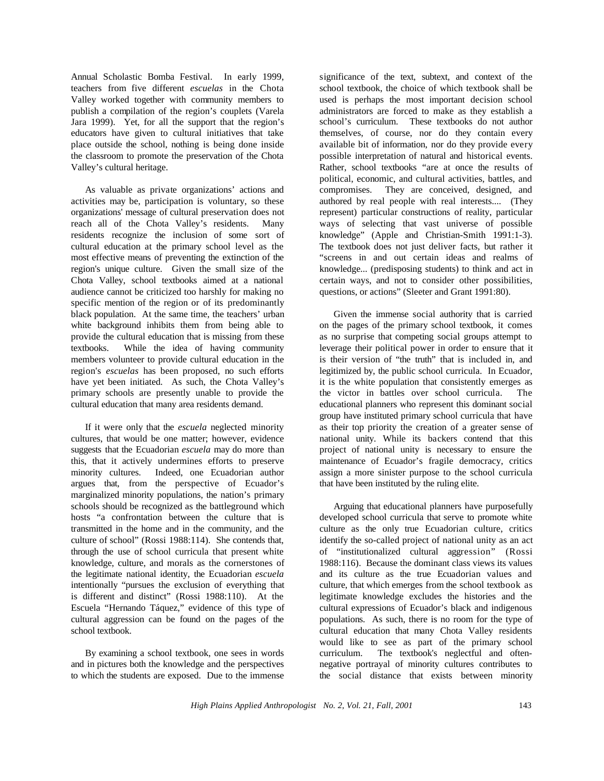Annual Scholastic Bomba Festival. In early 1999, teachers from five different *escuelas* in the Chota Valley worked together with community members to publish a compilation of the region's couplets (Varela Jara 1999). Yet, for all the support that the region's educators have given to cultural initiatives that take place outside the school, nothing is being done inside the classroom to promote the preservation of the Chota Valley's cultural heritage.

As valuable as private organizations' actions and activities may be, participation is voluntary, so these organizations' message of cultural preservation does not reach all of the Chota Valley's residents. Many residents recognize the inclusion of some sort of cultural education at the primary school level as the most effective means of preventing the extinction of the region's unique culture. Given the small size of the Chota Valley, school textbooks aimed at a national audience cannot be criticized too harshly for making no specific mention of the region or of its predominantly black population. At the same time, the teachers' urban white background inhibits them from being able to provide the cultural education that is missing from these textbooks. While the idea of having community members volunteer to provide cultural education in the region's *escuelas* has been proposed, no such efforts have yet been initiated. As such, the Chota Valley's primary schools are presently unable to provide the cultural education that many area residents demand.

If it were only that the *escuela* neglected minority cultures, that would be one matter; however, evidence suggests that the Ecuadorian *escuela* may do more than this, that it actively undermines efforts to preserve minority cultures. Indeed, one Ecuadorian author argues that, from the perspective of Ecuador's marginalized minority populations, the nation's primary schools should be recognized as the battleground which hosts "a confrontation between the culture that is transmitted in the home and in the community, and the culture of school" (Rossi 1988:114). She contends that, through the use of school curricula that present white knowledge, culture, and morals as the cornerstones of the legitimate national identity, the Ecuadorian *escuela* intentionally "pursues the exclusion of everything that is different and distinct" (Rossi 1988:110). At the Escuela "Hernando Táquez," evidence of this type of cultural aggression can be found on the pages of the school textbook.

By examining a school textbook, one sees in words and in pictures both the knowledge and the perspectives to which the students are exposed. Due to the immense significance of the text, subtext, and context of the school textbook, the choice of which textbook shall be used is perhaps the most important decision school administrators are forced to make as they establish a school's curriculum. These textbooks do not author themselves, of course, nor do they contain every available bit of information, nor do they provide every possible interpretation of natural and historical events. Rather, school textbooks "are at once the results of political, economic, and cultural activities, battles, and compromises. They are conceived, designed, and authored by real people with real interests.... (They represent) particular constructions of reality, particular ways of selecting that vast universe of possible knowledge" (Apple and Christian-Smith 1991:1-3). The textbook does not just deliver facts, but rather it "screens in and out certain ideas and realms of knowledge... (predisposing students) to think and act in certain ways, and not to consider other possibilities, questions, or actions" (Sleeter and Grant 1991:80).

Given the immense social authority that is carried on the pages of the primary school textbook, it comes as no surprise that competing social groups attempt to leverage their political power in order to ensure that it is their version of "the truth" that is included in, and legitimized by, the public school curricula. In Ecuador, it is the white population that consistently emerges as the victor in battles over school curricula. The educational planners who represent this dominant social group have instituted primary school curricula that have as their top priority the creation of a greater sense of national unity. While its backers contend that this project of national unity is necessary to ensure the maintenance of Ecuador's fragile democracy, critics assign a more sinister purpose to the school curricula that have been instituted by the ruling elite.

Arguing that educational planners have purposefully developed school curricula that serve to promote white culture as the only true Ecuadorian culture, critics identify the so-called project of national unity as an act of "institutionalized cultural aggression" (Rossi 1988:116). Because the dominant class views its values and its culture as the true Ecuadorian values and culture, that which emerges from the school textbook as legitimate knowledge excludes the histories and the cultural expressions of Ecuador's black and indigenous populations. As such, there is no room for the type of cultural education that many Chota Valley residents would like to see as part of the primary school curriculum. The textbook's neglectful and oftennegative portrayal of minority cultures contributes to the social distance that exists between minority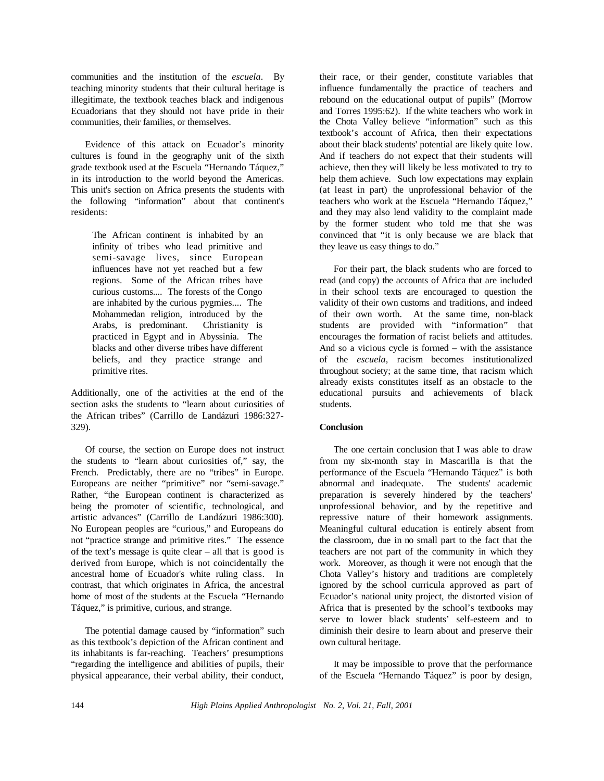communities and the institution of the *escuela*. By teaching minority students that their cultural heritage is illegitimate, the textbook teaches black and indigenous Ecuadorians that they should not have pride in their communities, their families, or themselves.

Evidence of this attack on Ecuador's minority cultures is found in the geography unit of the sixth grade textbook used at the Escuela "Hernando Táquez," in its introduction to the world beyond the Americas. This unit's section on Africa presents the students with the following "information" about that continent's residents:

The African continent is inhabited by an infinity of tribes who lead primitive and semi-savage lives, since European influences have not yet reached but a few regions. Some of the African tribes have curious customs.... The forests of the Congo are inhabited by the curious pygmies.... The Mohammedan religion, introduced by the Arabs, is predominant. Christianity is practiced in Egypt and in Abyssinia. The blacks and other diverse tribes have different beliefs, and they practice strange and primitive rites.

Additionally, one of the activities at the end of the section asks the students to "learn about curiosities of the African tribes" (Carrillo de Landázuri 1986:327- 329).

Of course, the section on Europe does not instruct the students to "learn about curiosities of," say, the French. Predictably, there are no "tribes" in Europe. Europeans are neither "primitive" nor "semi-savage." Rather, "the European continent is characterized as being the promoter of scientific, technological, and artistic advances" (Carrillo de Landázuri 1986:300). No European peoples are "curious," and Europeans do not "practice strange and primitive rites." The essence of the text's message is quite clear – all that is good is derived from Europe, which is not coincidentally the ancestral home of Ecuador's white ruling class. In contrast, that which originates in Africa, the ancestral home of most of the students at the Escuela "Hernando Táquez," is primitive, curious, and strange.

The potential damage caused by "information" such as this textbook's depiction of the African continent and its inhabitants is far-reaching. Teachers' presumptions "regarding the intelligence and abilities of pupils, their physical appearance, their verbal ability, their conduct,

their race, or their gender, constitute variables that influence fundamentally the practice of teachers and rebound on the educational output of pupils" (Morrow and Torres 1995:62). If the white teachers who work in the Chota Valley believe "information" such as this textbook's account of Africa, then their expectations about their black students' potential are likely quite low. And if teachers do not expect that their students will achieve, then they will likely be less motivated to try to help them achieve. Such low expectations may explain (at least in part) the unprofessional behavior of the teachers who work at the Escuela "Hernando Táquez," and they may also lend validity to the complaint made by the former student who told me that she was convinced that "it is only because we are black that they leave us easy things to do."

For their part, the black students who are forced to read (and copy) the accounts of Africa that are included in their school texts are encouraged to question the validity of their own customs and traditions, and indeed of their own worth. At the same time, non-black students are provided with "information" that encourages the formation of racist beliefs and attitudes. And so a vicious cycle is formed – with the assistance of the *escuela*, racism becomes institutionalized throughout society; at the same time, that racism which already exists constitutes itself as an obstacle to the educational pursuits and achievements of black students.

## **Conclusion**

The one certain conclusion that I was able to draw from my six-month stay in Mascarilla is that the performance of the Escuela "Hernando Táquez" is both abnormal and inadequate. The students' academic preparation is severely hindered by the teachers' unprofessional behavior, and by the repetitive and repressive nature of their homework assignments. Meaningful cultural education is entirely absent from the classroom, due in no small part to the fact that the teachers are not part of the community in which they work. Moreover, as though it were not enough that the Chota Valley's history and traditions are completely ignored by the school curricula approved as part of Ecuador's national unity project, the distorted vision of Africa that is presented by the school's textbooks may serve to lower black students' self-esteem and to diminish their desire to learn about and preserve their own cultural heritage.

It may be impossible to prove that the performance of the Escuela "Hernando Táquez" is poor by design,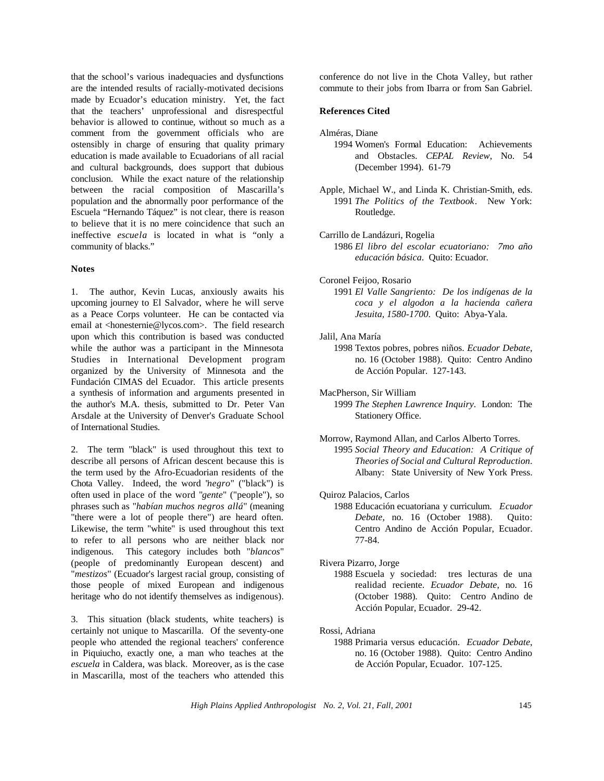that the school's various inadequacies and dysfunctions are the intended results of racially-motivated decisions made by Ecuador's education ministry. Yet, the fact that the teachers' unprofessional and disrespectful behavior is allowed to continue, without so much as a comment from the government officials who are ostensibly in charge of ensuring that quality primary education is made available to Ecuadorians of all racial and cultural backgrounds, does support that dubious conclusion. While the exact nature of the relationship between the racial composition of Mascarilla's population and the abnormally poor performance of the Escuela "Hernando Táquez" is not clear, there is reason to believe that it is no mere coincidence that such an ineffective *escuela* is located in what is "only a community of blacks."

#### **Notes**

1. The author, Kevin Lucas, anxiously awaits his upcoming journey to El Salvador, where he will serve as a Peace Corps volunteer. He can be contacted via email at <honesternie@lycos.com>. The field research upon which this contribution is based was conducted while the author was a participant in the Minnesota Studies in International Development program organized by the University of Minnesota and the Fundación CIMAS del Ecuador. This article presents a synthesis of information and arguments presented in the author's M.A. thesis, submitted to Dr. Peter Van Arsdale at the University of Denver's Graduate School of International Studies.

2. The term "black" is used throughout this text to describe all persons of African descent because this is the term used by the Afro-Ecuadorian residents of the Chota Valley. Indeed, the word "*negro*" ("black") is often used in place of the word "*gente*" ("people"), so phrases such as "*habían muchos negros allá*" (meaning "there were a lot of people there") are heard often. Likewise, the term "white" is used throughout this text to refer to all persons who are neither black nor indigenous. This category includes both "*blancos*" (people of predominantly European descent) and "*mestizos*" (Ecuador's largest racial group, consisting of those people of mixed European and indigenous heritage who do not identify themselves as indigenous).

3. This situation (black students, white teachers) is certainly not unique to Mascarilla. Of the seventy-one people who attended the regional teachers' conference in Piquiucho, exactly one, a man who teaches at the *escuela* in Caldera, was black. Moreover, as is the case in Mascarilla, most of the teachers who attended this conference do not live in the Chota Valley, but rather commute to their jobs from Ibarra or from San Gabriel.

## **References Cited**

- Alméras, Diane
	- 1994 Women's Formal Education: Achievements and Obstacles. *CEPAL Review*, No. 54 (December 1994). 61-79
- Apple, Michael W., and Linda K. Christian-Smith, eds. 1991 *The Politics of the Textbook*. New York: Routledge.
- Carrillo de Landázuri, Rogelia
	- 1986 *El libro del escolar ecuatoriano: 7mo año educación básica*. Quito: Ecuador.
- Coronel Feijoo, Rosario
	- 1991 *El Valle Sangriento: De los indígenas de la coca y el algodon a la hacienda cañera Jesuita, 1580-1700*. Quito: Abya-Yala.
- Jalil, Ana María
	- 1998 Textos pobres, pobres niños. *Ecuador Debate*, no. 16 (October 1988). Quito: Centro Andino de Acción Popular. 127-143.
- MacPherson, Sir William 1999 *The Stephen Lawrence Inquiry*. London: The Stationery Office.
- Morrow, Raymond Allan, and Carlos Alberto Torres. 1995 *Social Theory and Education: A Critique of Theories of Social and Cultural Reproduction*. Albany: State University of New York Press.
- Quiroz Palacios, Carlos
	- 1988 Educación ecuatoriana y curriculum. *Ecuador Debate*, no. 16 (October 1988). Quito: Centro Andino de Acción Popular, Ecuador. 77-84.

#### Rivera Pizarro, Jorge

1988 Escuela y sociedad: tres lecturas de una realidad reciente. *Ecuador Debate*, no. 16 (October 1988). Quito: Centro Andino de Acción Popular, Ecuador. 29-42.

### Rossi, Adriana

1988 Primaria versus educación. *Ecuador Debate*, no. 16 (October 1988). Quito: Centro Andino de Acción Popular, Ecuador. 107-125.

*High Plains Applied Anthropologist No. 2, Vol. 21, Fall, 2001* 145